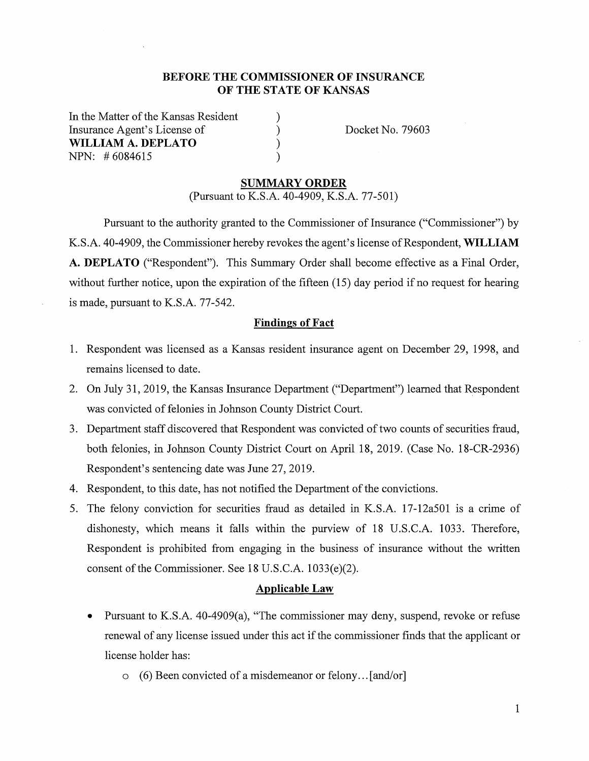## **BEFORE THE COMMISSIONER OF INSURANCE OF THE STATE OF KANSAS**

) ) ) )

In the Matter of the Kansas Resident Insurance Agent's License of **WILLIAM A. DEPLATO**  NPN: # 6084615

Docket No. 79603

#### **SUMMARY ORDER**

(Pursuant to K.S.A. 40-4909, K.S.A. 77-501)

Pursuant to the authority granted to the Commissioner of Insurance ("Commissioner") by K.S.A. 40-4909, the Commissioner hereby revokes the agent's license of Respondent, **WILLIAM A. DEPLATO** ("Respondent"). This Summary Order shall become effective as a Final Order, without further notice, upon the expiration of the fifteen (15) day period if no request for hearing is made, pursuant to K.S.A. 77-542.

#### **Findings of Fact**

- 1. Respondent was licensed as a Kansas resident insurance agent on December 29, 1998, and remains licensed to date.
- 2. On July 31, 2019, the Kansas Insurance Department ("Department") learned that Respondent was convicted of felonies in Johnson County District Court.
- 3. Department staff discovered that Respondent was convicted of two counts of securities fraud, both felonies, in Johnson County District Court on April 18, 2019. (Case No. 18-CR-2936) Respondent's sentencing date was June 27, 2019.
- 4. Respondent, to this date, has not notified the Department of the convictions.
- 5. The felony conviction for securities fraud as detailed in K.S.A. 17-12a501 is a crime of dishonesty, which means it falls within the purview of 18 U.S.C.A. 1033. Therefore, Respondent is prohibited from engaging in the business of insurance without the written consent of the Commissioner. See 18 U.S.C.A. 1033(e)(2).

#### **Applicable Law**

- Pursuant to K.S.A. 40-4909(a), "The commissioner may deny, suspend, revoke or refuse renewal of any license issued under this act if the commissioner finds that the applicant or license holder has:
	- o (6) Been convicted of a misdemeanor or felony ... [and/or]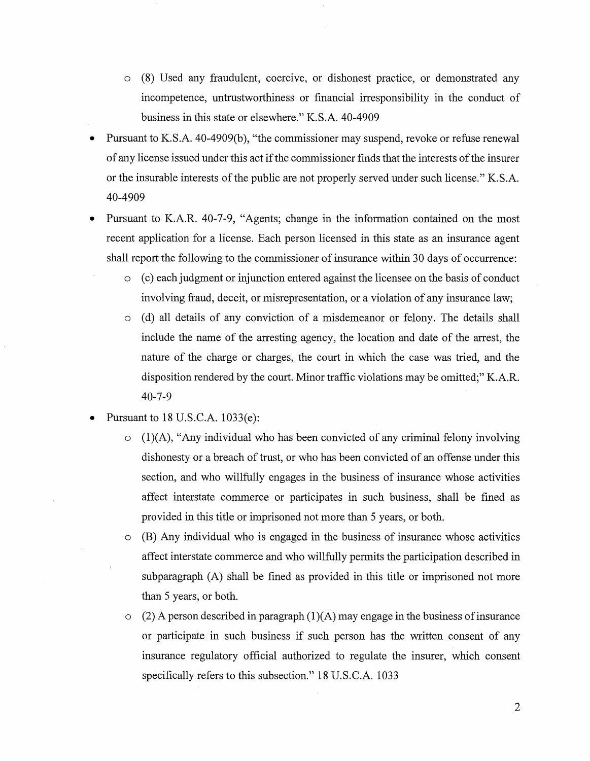- o (8) Used any fraudulent, coercive, or dishonest practice, or demonstrated any incompetence, untrustworthiness or financial irresponsibility in the conduct of business in this state or elsewhere." K.S.A. 40-4909
- Pursuant to K.S.A. 40-4909(b), "the commissioner may suspend, revoke or refuse renewal of any license issued under this act if the commissioner finds that the interests of the insurer or the insurable interests of the public are not properly served under such license." K.S.A. 40-4909
- Pursuant to K.A.R. 40-7-9, "Agents; change in the information contained on the most recent application for a license. Each person licensed in this state as an insurance agent shall report the following to the commissioner of insurance within 30 days of occurrence:
	- o ( c) each judgment or injunction entered against the licensee on the basis of conduct involving fraud, deceit, or misrepresentation, or a violation of any insurance law;
	- o ( d) all details of any conviction of a misdemeanor or felony. The details shall include the name of the arresting agency, the location and date of the arrest, the nature of the charge or charges, the court in which the case was tried, and the disposition rendered by the court. Minor traffic violations may be omitted;" K.A.R. 40-7-9
- Pursuant to  $18$  U.S.C.A.  $1033(e)$ :
	- $(1)(A)$ , "Any individual who has been convicted of any criminal felony involving dishonesty or a breach of trust, or who has been convicted of an offense under this section, and who willfully engages in the business of insurance whose activities affect interstate commerce or participates in such business, shall be fined as provided in this title or imprisoned not more than 5 years, or both.
	- o (B) Any individual who is engaged in the business of insurance whose activities affect interstate commerce and who willfully permits the participation described in subparagraph (A) shall be fined as provided in this title or imprisoned not more than 5 years, or both.
	- $\circ$  (2) A person described in paragraph (1)(A) may engage in the business of insurance or participate in such business if such person has the written consent of any insurance regulatory official authorized to regulate the insurer, which consent specifically refers to this subsection." 18 U.S.C.A. 1033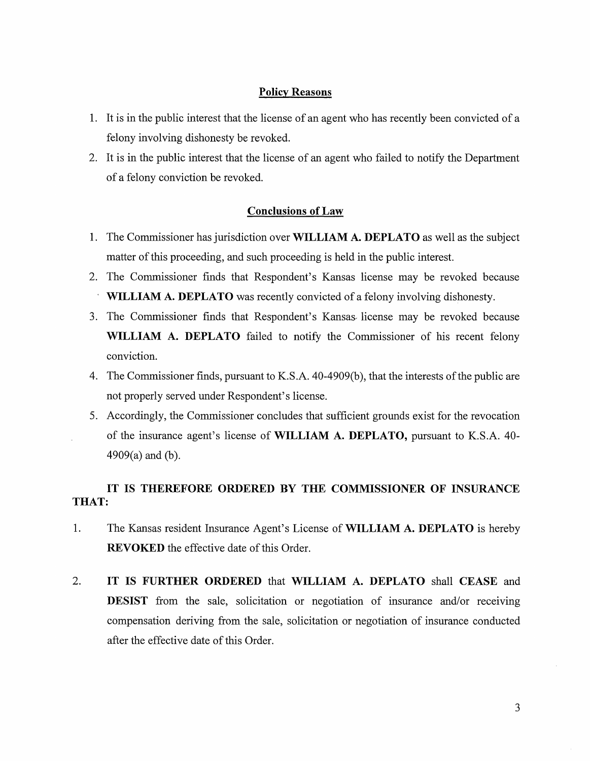#### **Policy Reasons**

- 1. It is in the public interest that the license of an agent who has recently been convicted of a felony involving dishonesty be revoked.
- 2. It is in the public interest that the license of an agent who failed to notify the Department of a felony conviction be revoked.

## **Conclusions of Law**

- 1. The Commissioner has jurisdiction over **WILLIAM A. DEPLATO** as well as the subject matter of this proceeding, and such proceeding is held in the public interest.
- 2. The Commissioner finds that Respondent's Kansas license may be revoked because **WILLIAM A. DEPLATO** was recently convicted of a felony involving dishonesty.
- 3. The Commissioner finds that Respondent's Kansas- license may be revoked because **WILLIAM A. DEPLATO** failed to notify the Commissioner of his recent felony conviction.
- 4. The Commissioner finds, pursuant to K.S.A. 40-4909(b), that the interests of the public are not properly served under Respondent's license.
- 5. Accordingly, the Commissioner concludes that sufficient grounds exist for the revocation of the insurance agent's license of **WILLIAM A. DEPLATO,** pursuant to K.S.A. 40- 4909(a) and (b).

# **IT IS THEREFORE ORDERED BY THE COMMISSIONER OF INSURANCE THAT:**

- 1. The Kansas resident Insurance Agent's License of **WILLIAM A. DEPLATO** is hereby **REVOKED** the effective date of this Order.
- 2. **IT IS FURTHER ORDERED** that **WILLIAM A. DEPLATO** shall **CEASE** and **DESIST** from the sale, solicitation or negotiation of insurance and/or receiving compensation deriving from the sale, solicitation or negotiation of insurance conducted after the effective date of this Order.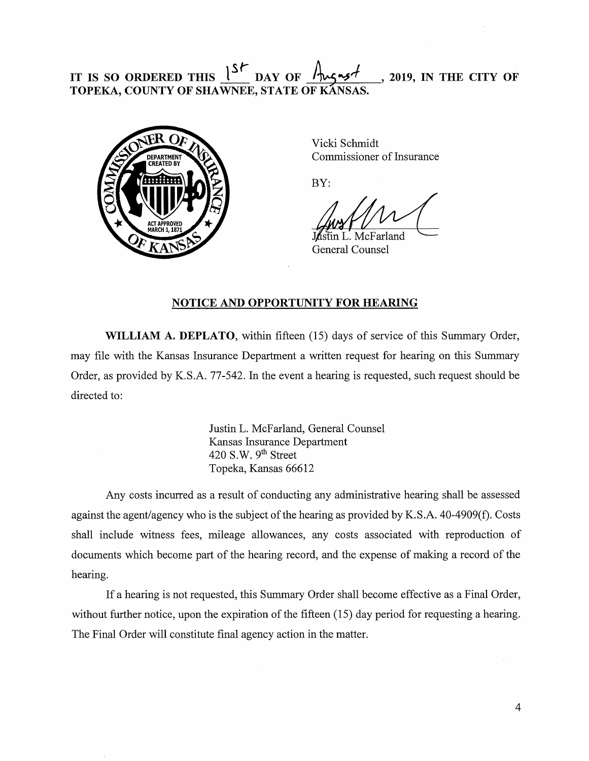## IT IS SO ORDERED THIS  $1^{S}$ **DAY OF** ¾..\_,,/- **'2019,** IN **THE CITY OF TOPEKA, COUNTY OF SHAWNEE, STATE OF KANSAS.**



Vicki Schmidt Commissioner of Insurance

BY:

ístin L. McFarland General Counsel

## **NOTICE AND OPPORTUNITY FOR HEARING**

**WILLIAM A. DEPLATO,** within fifteen (15) days of service of this Summary Order, may file with the Kansas Insurance Department a written request for hearing on this Summary Order, as provided by K.S.A. 77-542. In the event a hearing is requested, such request should be directed to:

> Justin L. McFarland, General Counsel Kansas Insurance Department 420 S.W. 9<sup>th</sup> Street Topeka, Kansas 66612

Any costs incurred as a result of conducting any administrative hearing shall be assessed against the agent/agency who is the subject of the hearing as provided by K.S.A. 40-4909(f). Costs shall include witness fees, mileage allowances, any costs associated with reproduction of documents which become part of the hearing record, and the expense of making a record of the hearing.

If a hearing is not requested, this Summary Order shall become effective as a Final Order, without further notice, upon the expiration of the fifteen (15) day period for requesting a hearing. The Final Order will constitute final agency action in the matter.